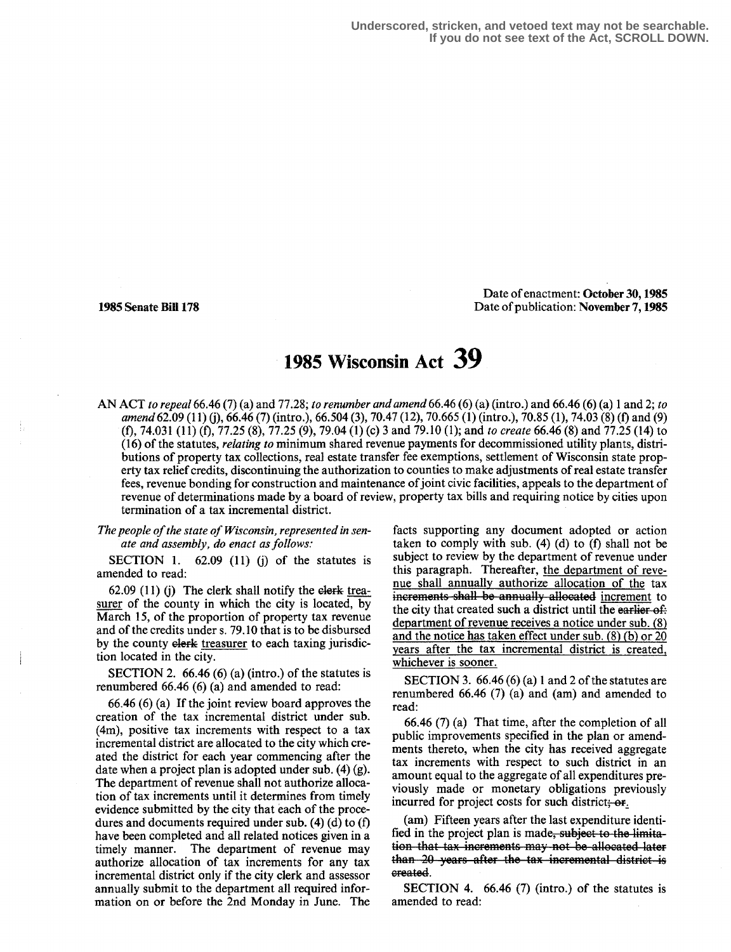**Underscored, stricken, and vetoed text may not be searchable. If you do not see text of the Act, SCROLL DOWN.**

Date of enactment: October 30, 1985 1985 Senate Bill 178 Date of publication : November 7,1985

## 1985 Wisconsin Act 39

AN ACT to repeal 66.46 (7) (a) and 77:28; to renumber and amend 66.46 (6) (a) (intro .) and 66.46 (6) (a) 1 and 2; to amend 62.09 (11) (j), 66.46 (7) (intro.), 66.504 (3), 70.47 (12), 70.665 (1) (intro.), 70.85 (1), 74.03 (8) (f) and (9) (f), 74.031 (11) (fl, 77.25 (8), 77.25 (9), 79.04 (1) (c) 3 and 79.10 (1); and to create 66.46 (8) and 77.25 (14) to (16) of the statutes, relating to minimum shared revenue payments for decommissioned utility plants, distributions of property tax collections, real estate transfer fee exemptions, settlement of Wisconsin state property tax relief credits, discontinuing the authorization to counties to make adjustments of real estate transfer fees, revenue bonding for construction and maintenance of joint civic facilities, appeals to the department of revenue of determinations made by a board of review, property tax bills and requiring notice by cities upon termination of a tax incremental district.

The people of the state of Wisconsin, represented in senate and assembly, do enact as follows:

SECTION 1.  $62.09$  (11) (j) of the statutes is amended to read:

62.09 (11) (j) The clerk shall notify the elerk treasurer of the county in which the city is located, by March 15, of the proportion of property tax revenue and of the credits under s. 79.10 that is to be disbursed by the county elerk treasurer to each taxing jurisdiction located in the city.

SECTION 2.  $66.46(6)(a)(\text{intro.})$  of the statutes is renumbered 66.46 (6) (a) and amended to read:

66.46 (6) (a) If the joint review board approves the creation of the tax incremental district under sub.  $(4m)$ , positive tax increments with respect to a tax incremental district are allocated to the city which created the district for each year commencing after the date when a project plan is adopted under sub. (4) (g). The department of revenue shall not authorize allocation of tax increments until it determines from timely evidence submitted by the city that each of the procedures and documents required under sub.  $(4)$   $(d)$  to  $(f)$ have been completed and all related notices given in a timely manner. The department of revenue may authorize allocation of tax increments for any tax incremental district only if the city clerk and assessor annually submit to the department all required information on or before the 2nd Monday in June. The

facts supporting any document adopted or action taken to comply with sub. (4) (d) to (f) shall not be subject to review by the department of revenue under this paragraph. Thereafter, the department of revenue shall annually authorize allocation of the tax increments shall be annually allocated increment to the city that created such a district until the earlier of. department of revenue receives a notice under sub. (8) and the notice has taken effect under sub. (8) (b) or 20 years after the tax incremental district is created, whichever is sooner.

SECTION 3.  $66.46(6)(a)1$  and 2 of the statutes are renumbered 66.46 (7) (a) and (am) and amended to read:

66.46 (7) (a) That time, after the completion of all public improvements specified in the plan or amendments thereto, when the city has received aggregate tax increments with respect to such district in an amount equal to the aggregate of all expenditures previously made or monetary obligations previously incurred for project costs for such district; or.

(am) Fifteen years after the last expenditure identified in the project plan is made, subject to the limitation that tax increments may not be allocated later than 20 years after the tax incremental district is created.

SECTION 4. 66.46 (7) (intro.) of the statutes is amended to read: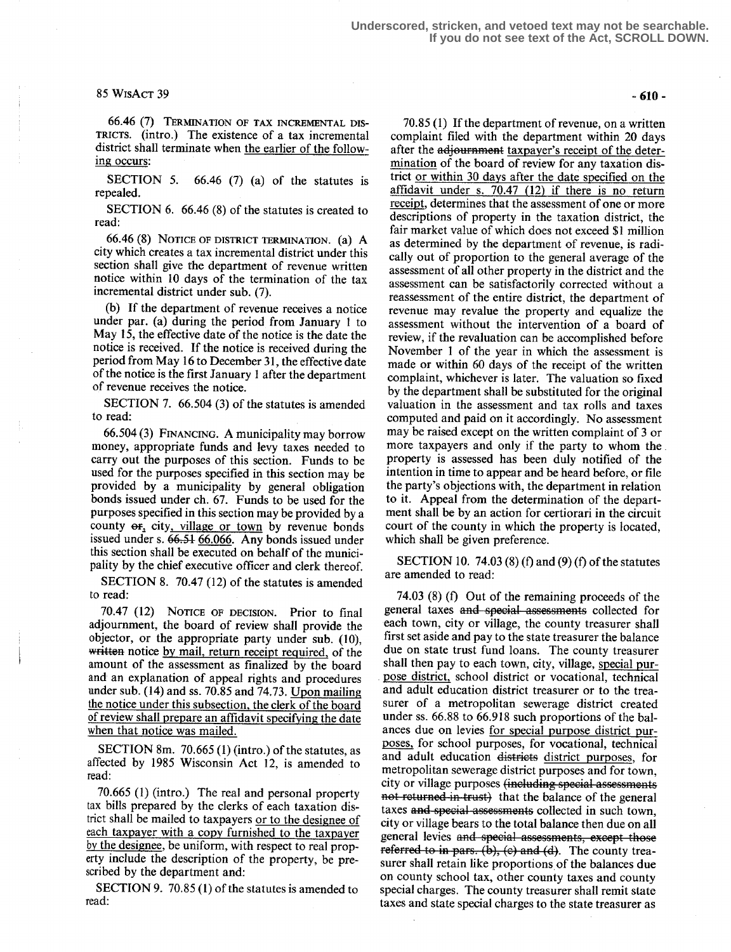## 85 WrsAcT 34

66.46 (7) TERMINATION OF TAX INCREMENTAL DIS-TRICTS. (intro.) The existence of a tax incremental district shall terminate when the earlier of the following occurs:

SECTION 5. 66.46 (7) (a) of the statutes is repealed.

SECTION 6. 66.46 (8) of the statutes is created to read:

66.46 (8) NOTICE OF DISTRICT TERMINATION. (8) A city which creates a tax incremental district under this section shall give the department of revenue written notice within 10 days of the termination of the tax incremental district under sub. (7).

(b) If the department of revenue receives a notice under par. (a) during the period from January 1 to May 15, the effective date of the notice is the date the notice is received. If the notice is received during the period from May 16 to December 31, the effective date of the notice is the first January 1 after the department of revenue receives the notice .

SECTION 7. 66.504 (3) of the statutes is amended to read:

66.504 (3) FINANCING. A municipality may borrow money, appropriate funds and levy taxes needed to carry out the purposes of this section. Funds to be used for the purposes specified in this section may be provided by a municipality by general obligation bonds issued under ch. 67. Funds to be used for the purposes specified in this section may be provided by a county  $er_1$  city, village or town by revenue bonds issued under s.  $66.51$  66.066. Any bonds issued under this section shall be executed on behalf of the municipality by the chief executive officer and clerk thereof.

SECTION 8. 70.47 (12) of the statutes is amended to read:

70.47 (12) NOTICE OF DECISION. Prior to final adjournment, the board of review shall provide the objector, or the appropriate party under sub. (10), written notice by mail, return receipt required, of the amount of the assessment as finalized by the board and an explanation of appeal rights and procedures under sub.  $(14)$  and ss. 70.85 and 74.73. Upon mailing the notice under this subsection, the clerk of the board of review shall prepare an affidavit specifying the date when that notice was mailed.

SECTION 8m.  $70.665$  (1) (intro.) of the statutes, as affected by 1985 Wisconsin Act 12, is amended to read:

70.665 (1) (intro.) The real and personal property tax bills prepared by the clerks of each taxation district shall be mailed to taxpayers or to the designee of each taxpayer with a copy furnished to the taxpayer by the designee, be uniform, with respect to real property include the description of the property, be prescribed by the department and:

SECTION 9. 70.85 (1) of the statutes is amended to read:

-610-

70.85 (1) If the department of revenue, on a written complaint filed with the department within 20 days after the adjournment taxpayer's receipt of the determination of the board of review for any taxation district or within 30 days after the date specified on the affidavit under s. 70.47 (12) if there is no return receipt, determines that the assessment of one or more descriptions of property in the taxation district, the fair market value of which does not exceed \$1 million as determined by the department of revenue, is radically out of proportion to the general average of the assessment of all other property in the district and the assessment can be satisfactorily corrected without a reassessment of the entire district, the department of revenue may revalue the property and equalize the assessment without the intervention of a board of review, if the revaluation can be accomplished before November 1 of the year in which the assessment is made or within 60 days of the receipt of the written complaint, whichever is later. The valuation so fixed by the department shall be substituted for the original valuation in the assessment and tax rolls and taxes computed and paid on it accordingly. No assessment may be raised except on the written complaint of 3 or more taxpayers and only if the party to whom the . property is assessed has been duly notified of the intention in time to appear and be heard before, or file the party's objections with, the department in relation to it . Appeal from the determination of the department shall be by an action for certiorari in the circuit court of the county in which the property is located, which shall be given preference.

SECTION 10. 74.03 (8) (f) and (9) (f) of the statutes are amended to read:

74.03 (8) (f) Out of the remaining proceeds of the general taxes and special assessments collected for each town, city or village, the county treasurer shall first set aside and pay to the state treasurer the balance due on state trust fund loans. The county treasurer shall then pay to each town, city, village, special purpose district, school district or vocational, technical and adult education district treasurer or to the treasurer of a metropolitan sewerage district created under ss. 66.88 to 66.918 such proportions of the balances due on levies for special purpose district purposes, for school purposes, for vocational, technical and adult education distriets district purposes, for metropolitan sewerage district purposes and for town, city or village purposes (including special assessments not returned in trust) that the balance of the general taxes and speeial assessments collected in such town, city or village bears to the total balance then due on all general levies and special assessments, except those  $\vec{v}$  referred to in pars. (b), (c) and (d). The county treasurer shall retain like proportions of the balances due on county school tax, other county taxes and county special charges. The county treasurer shall remit state taxes and state special charges to the state treasurer as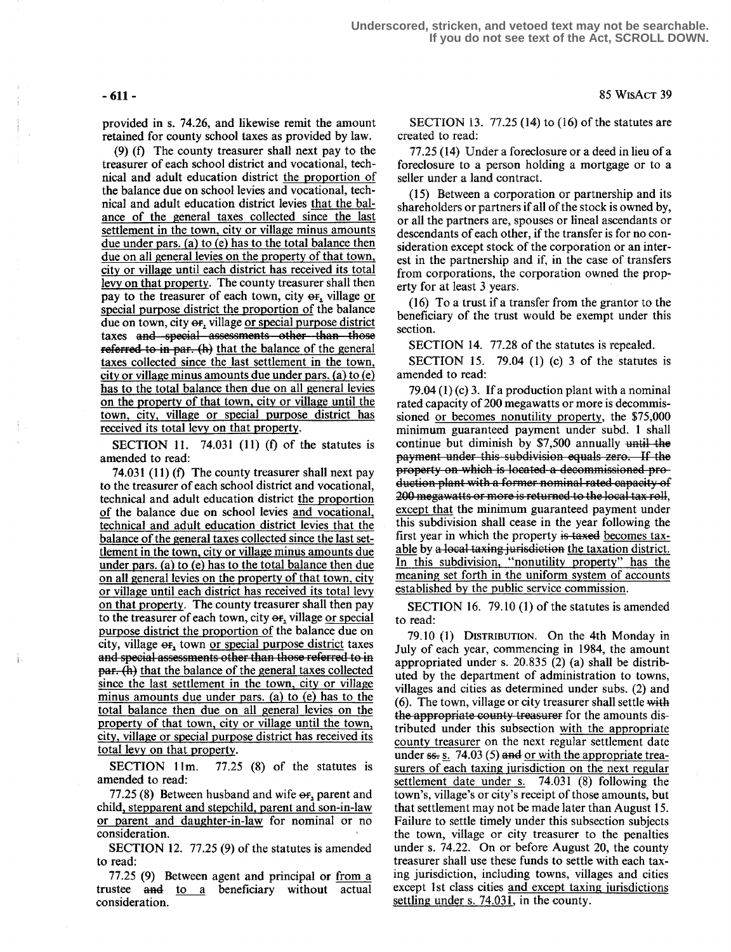provided in s. 74.26, and likewise remit the amount retained for county school taxes as provided by law.

(9) (f) The county treasurer shall next pay to the treasurer of each school district and vocational, technical and adult education district the proportion of the balance due on school levies and vocational, technical and adult education district levies that the balance of the general taxes collected since the last settlement in the town, city or village minus amounts due under pars. (a) to (e) has to the total balance then due on all general levies on the property of that town, city or village until each district has received its total levy on that property. The county treasurer shall then pay to the treasurer of each town, city or, village or special purpose district the proportion of the balance due on town, city or, village or special purpose district taxes and special assessments other than those  $referred$  to in par. (h) that the balance of the general taxes collected since the last settlement in the town, city or village minus amounts due under pars. (a) to  $(e)$ has to the total balance then due on all general levies on the property of that town, city or village until the town, city, village or special purpose district has received its total levy on that property.

SECTION 11. 74.031 (11) (f) of the statutes is amended to read:

74.031 (11) (f) The county treasurer shall next pay to the treasurer of each school district and vocational, technical and adult education district the proportion of the balance due on school levies and vocational, technical and adult education district levies that the balance of the general taxes collected since the last settlement in the town, city or village minus amounts due under gars. (a) to (e) has to the total balance then due on all general levies on the property of that town, city or village until each district has received its total levy on that property. The county treasurer shall then pay to the treasurer of each town, city or, village or special purpose district the proportion of the balance due on city, village  $\Theta$ , town or special purpose district taxes and special assessments other than those referred to in par. (h) that the balance of the general taxes collected since the last settlement in the town, city or village minus amounts due under gars. (a) to (e) has to the total balance then due on all general levies on the property of that town, city or village until the town, city, village or special purpose district has received its total levy on that property.

SECTION 11m. 77.25 (8) of the statutes is amended to read:

 $77.25(8)$  Between husband and wife  $\Theta$ F, parent and child, stepparent and stepchild, parent and son-in-law or parent and daughter-in-law for nominal or no consideration.

SECTION 12. 77.25 (9) of the statutes is amended to read:

77.25 (9) Between agent and principal or from a trustee and to a beneficiary without actual consideration.

SECTION 13. 77.25 (14) to (16) of the statutes are created to read:

77.25 (14) Under a foreclosure or a deed in lieu of a foreclosure to a person holding a mortgage or to a seller under a land contract.

(15) Between a corporation or partnership and its shareholders or partners if all of the stock is owned by, or all the partners are, spouses or lineal ascendants or descendants of each other, if the transfer is for no consideration except stock of the corporation or an interest in the partnership and if, in the case of transfers from corporations, the corporation owned the property for at least 3 years.

(16) To a trust if a transfer from the grantor to the beneficiary of the trust would be exempt under this section.

SECTION 14. 77.28 of the statutes is repealed.

SECTION 15. 79.04 (1) (c) 3 of the statutes is amended to read:

79.04 (1) (c) 3. If a production plant with a nominal rated capacity of 200 megawatts or more is decommissioned or becomes nonutility property, the \$75,000 minimum guaranteed payment under subd. 1 shall continue but diminish by  $$7,500$  annually until the payment under this subdivision equals zero. If the property on which is located a decommissioned pro-<br>duction plant with a former nominal rated capacity of 200 megawatts or more is returned to the local tax roll, except that the minimum guaranteed payment under this subdivision shall cease in the year following the first year in which the property is taxed becomes taxable by a local taxing jurisdiction the taxation district. In this subdivision, "nonutility property" has the meaning set forth in the uniform system of accounts established by the public service commission.

SECTION 16 . 79.10 (1) of the statutes is amended to read:

79.10 (1) DISTRIBUTION. On the 4th Monday in July of each year, commencing in 1984, the amount appropriated under s. 20.835 (2) (a) shall be distributed by the department of administration to towns, villages and cities as determined under subs. (2) and (6). The town, village or city treasurer shall settle with the appropriate county treasurer for the amounts distributed under this subsection with the appropriate county treasurer on the next regular settlement date under  $ss. s.$  74.03 (5) and <u>or with the appropriate trea-</u> surers of each taxing jurisdiction on the next regular settlement date under s. 74.031 (8) following the town's, village's or city's receipt of those amounts, but that settlement may not be made later than August 15. Failure to settle timely under this subsection subjects the town, village or city treasurer to the penalties under s. 7422. On or before August 20, the county treasurer shall use these funds to settle with each taxing jurisdiction, including towns, villages and cities except 1st class cities and except taxing jurisdictions settling under s. 74.031, in the county.